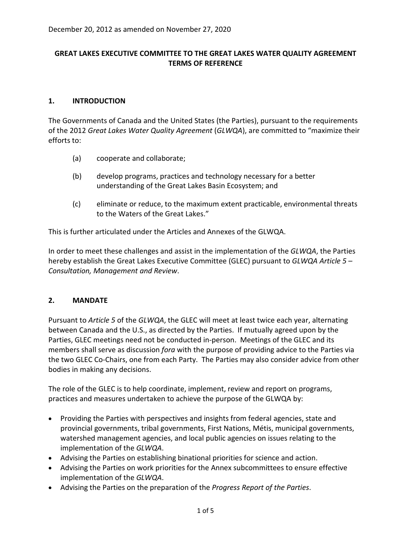### **GREAT LAKES EXECUTIVE COMMITTEE TO THE GREAT LAKES WATER QUALITY AGREEMENT TERMS OF REFERENCE**

### **1. INTRODUCTION**

The Governments of Canada and the United States (the Parties), pursuant to the requirements of the 2012 *Great Lakes Water Quality Agreement* (*GLWQA*), are committed to "maximize their efforts to:

- (a) cooperate and collaborate;
- (b) develop programs, practices and technology necessary for a better understanding of the Great Lakes Basin Ecosystem; and
- (c) eliminate or reduce, to the maximum extent practicable, environmental threats to the Waters of the Great Lakes."

This is further articulated under the Articles and Annexes of the GLWQA.

In order to meet these challenges and assist in the implementation of the *GLWQA*, the Parties hereby establish the Great Lakes Executive Committee (GLEC) pursuant to *GLWQA Article 5 – Consultation, Management and Review*.

#### **2. MANDATE**

Pursuant to *Article 5* of the *GLWQA*, the GLEC will meet at least twice each year, alternating between Canada and the U.S., as directed by the Parties. If mutually agreed upon by the Parties, GLEC meetings need not be conducted in-person. Meetings of the GLEC and its members shall serve as discussion *fora* with the purpose of providing advice to the Parties via the two GLEC Co-Chairs, one from each Party. The Parties may also consider advice from other bodies in making any decisions.

The role of the GLEC is to help coordinate, implement, review and report on programs, practices and measures undertaken to achieve the purpose of the GLWQA by:

- Providing the Parties with perspectives and insights from federal agencies, state and provincial governments, tribal governments, First Nations, Métis, municipal governments, watershed management agencies, and local public agencies on issues relating to the implementation of the *GLWQA*.
- Advising the Parties on establishing binational priorities for science and action.
- Advising the Parties on work priorities for the Annex subcommittees to ensure effective implementation of the *GLWQA*.
- Advising the Parties on the preparation of the *Progress Report of the Parties*.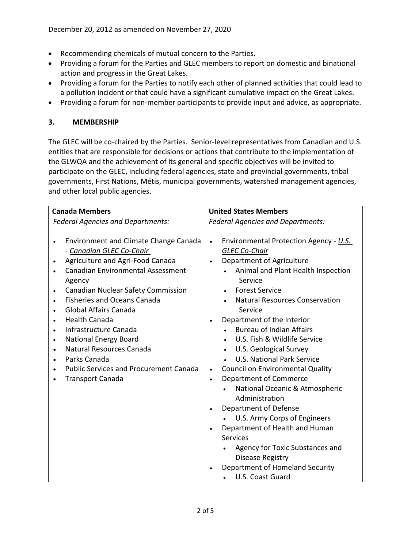- Recommending chemicals of mutual concern to the Parties.
- Providing a forum for the Parties and GLEC members to report on domestic and binational action and progress in the Great Lakes.
- Providing a forum for the Parties to notify each other of planned activities that could lead to a pollution incident or that could have a significant cumulative impact on the Great Lakes.
- Providing a forum for non-member participants to provide input and advice, as appropriate.

### **3. MEMBERSHIP**

The GLEC will be co-chaired by the Parties. Senior-level representatives from Canadian and U.S. entities that are responsible for decisions or actions that contribute to the implementation of the GLWQA and the achievement of its general and specific objectives will be invited to participate on the GLEC, including federal agencies, state and provincial governments, tribal governments, First Nations, Métis, municipal governments, watershed management agencies, and other local public agencies.

| <b>Canada Members</b>                    |                                               |           | <b>United States Members</b>             |  |
|------------------------------------------|-----------------------------------------------|-----------|------------------------------------------|--|
| <b>Federal Agencies and Departments:</b> |                                               |           | <b>Federal Agencies and Departments:</b> |  |
|                                          |                                               |           |                                          |  |
|                                          | Environment and Climate Change Canada         | $\bullet$ | Environmental Protection Agency - U.S.   |  |
|                                          | - Canadian GLEC Co-Chair                      |           | <b>GLEC Co-Chair</b>                     |  |
| ٠                                        | Agriculture and Agri-Food Canada              | $\bullet$ | Department of Agriculture                |  |
|                                          | <b>Canadian Environmental Assessment</b>      |           | Animal and Plant Health Inspection       |  |
|                                          | Agency                                        |           | Service                                  |  |
| $\bullet$                                | Canadian Nuclear Safety Commission            |           | <b>Forest Service</b>                    |  |
|                                          | <b>Fisheries and Oceans Canada</b>            |           | <b>Natural Resources Conservation</b>    |  |
| $\bullet$                                | <b>Global Affairs Canada</b>                  |           | Service                                  |  |
|                                          | <b>Health Canada</b>                          |           | Department of the Interior               |  |
|                                          | Infrastructure Canada                         |           | <b>Bureau of Indian Affairs</b>          |  |
| $\bullet$                                | <b>National Energy Board</b>                  |           | U.S. Fish & Wildlife Service             |  |
| $\bullet$                                | Natural Resources Canada                      |           | U.S. Geological Survey                   |  |
| $\bullet$                                | Parks Canada                                  |           | <b>U.S. National Park Service</b>        |  |
|                                          | <b>Public Services and Procurement Canada</b> | $\bullet$ | Council on Environmental Quality         |  |
|                                          | <b>Transport Canada</b>                       | $\bullet$ | Department of Commerce                   |  |
|                                          |                                               |           | National Oceanic & Atmospheric           |  |
|                                          |                                               |           | Administration                           |  |
|                                          |                                               | $\bullet$ | Department of Defense                    |  |
|                                          |                                               |           | U.S. Army Corps of Engineers             |  |
|                                          |                                               | $\bullet$ | Department of Health and Human           |  |
|                                          |                                               |           | Services                                 |  |
|                                          |                                               |           | Agency for Toxic Substances and          |  |
|                                          |                                               |           | Disease Registry                         |  |
|                                          |                                               |           | Department of Homeland Security          |  |
|                                          |                                               |           | U.S. Coast Guard                         |  |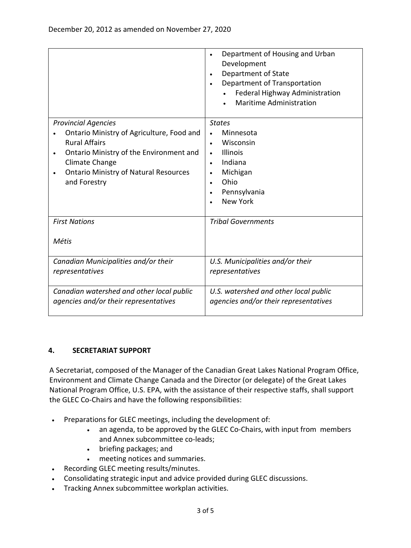|                                                                   | Department of Housing and Urban<br>$\bullet$<br>Development<br>Department of State<br>$\bullet$<br>Department of Transportation<br>$\bullet$<br>Federal Highway Administration<br><b>Maritime Administration</b> |  |  |
|-------------------------------------------------------------------|------------------------------------------------------------------------------------------------------------------------------------------------------------------------------------------------------------------|--|--|
| <b>Provincial Agencies</b>                                        | <b>States</b>                                                                                                                                                                                                    |  |  |
| Ontario Ministry of Agriculture, Food and<br><b>Rural Affairs</b> | Minnesota<br>Wisconsin<br>$\bullet$                                                                                                                                                                              |  |  |
| Ontario Ministry of the Environment and<br>$\bullet$              | <b>Illinois</b><br>$\bullet$                                                                                                                                                                                     |  |  |
| Climate Change                                                    | Indiana<br>$\bullet$                                                                                                                                                                                             |  |  |
| <b>Ontario Ministry of Natural Resources</b><br>$\bullet$         | Michigan<br>$\bullet$                                                                                                                                                                                            |  |  |
| and Forestry                                                      | Ohio<br>$\bullet$                                                                                                                                                                                                |  |  |
|                                                                   | Pennsylvania<br>$\bullet$<br><b>New York</b>                                                                                                                                                                     |  |  |
|                                                                   |                                                                                                                                                                                                                  |  |  |
| <b>First Nations</b>                                              | <b>Tribal Governments</b>                                                                                                                                                                                        |  |  |
|                                                                   |                                                                                                                                                                                                                  |  |  |
| Métis                                                             |                                                                                                                                                                                                                  |  |  |
| Canadian Municipalities and/or their                              | U.S. Municipalities and/or their                                                                                                                                                                                 |  |  |
| representatives                                                   | representatives                                                                                                                                                                                                  |  |  |
| Canadian watershed and other local public                         | U.S. watershed and other local public                                                                                                                                                                            |  |  |
| agencies and/or their representatives                             | agencies and/or their representatives                                                                                                                                                                            |  |  |

#### **4. SECRETARIAT SUPPORT**

A Secretariat, composed of the Manager of the Canadian Great Lakes National Program Office, Environment and Climate Change Canada and the Director (or delegate) of the Great Lakes National Program Office, U.S. EPA, with the assistance of their respective staffs, shall support the GLEC Co-Chairs and have the following responsibilities:

- Preparations for GLEC meetings, including the development of:
	- an agenda, to be approved by the GLEC Co-Chairs, with input from members and Annex subcommittee co-leads;
	- briefing packages; and
	- meeting notices and summaries.
- Recording GLEC meeting results/minutes.
- Consolidating strategic input and advice provided during GLEC discussions.
- Tracking Annex subcommittee workplan activities.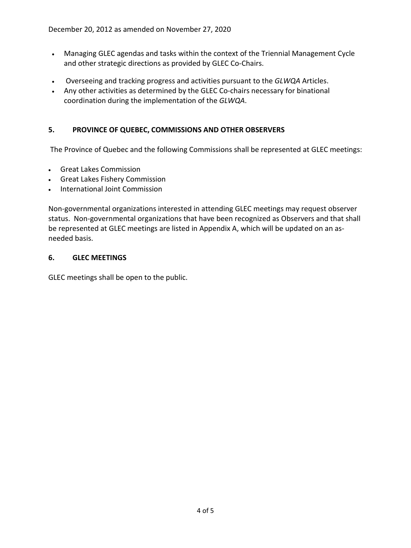- Managing GLEC agendas and tasks within the context of the Triennial Management Cycle and other strategic directions as provided by GLEC Co-Chairs.
- Overseeing and tracking progress and activities pursuant to the *GLWQA* Articles.
- Any other activities as determined by the GLEC Co-chairs necessary for binational coordination during the implementation of the *GLWQA*.

# **5. PROVINCE OF QUEBEC, COMMISSIONS AND OTHER OBSERVERS**

The Province of Quebec and the following Commissions shall be represented at GLEC meetings:

- Great Lakes Commission
- Great Lakes Fishery Commission
- International Joint Commission

Non-governmental organizations interested in attending GLEC meetings may request observer status. Non-governmental organizations that have been recognized as Observers and that shall be represented at GLEC meetings are listed in Appendix A, which will be updated on an asneeded basis.

#### **6. GLEC MEETINGS**

GLEC meetings shall be open to the public.